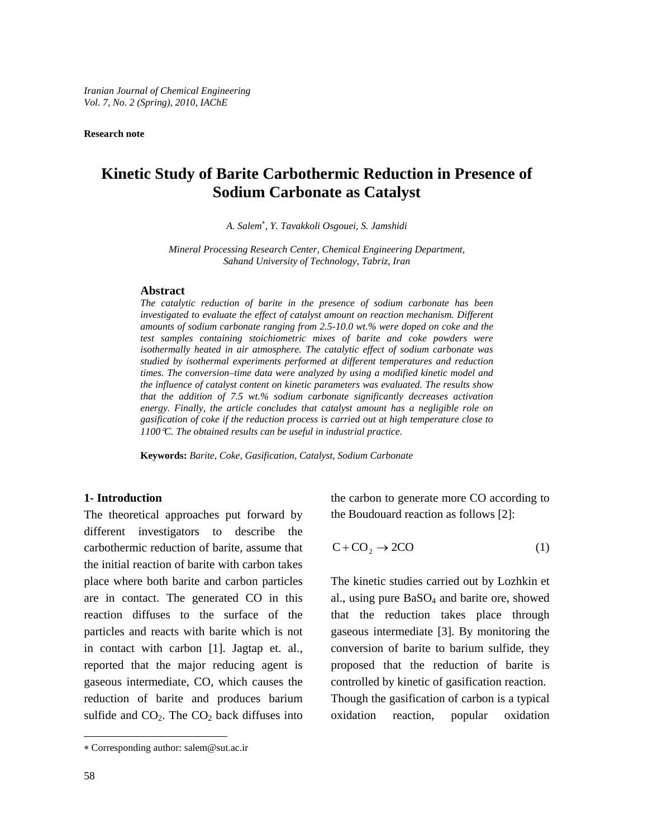**Research note** 

# **Kinetic Study of Barite Carbothermic Reduction in Presence of Sodium Carbonate as Catalyst**

*A. Salem*<sup>∗</sup> , *Y. Tavakkoli Osgouei, S. Jamshidi* 

*Mineral Processing Research Center, Chemical Engineering Department, Sahand University of Technology, Tabriz, Iran* 

#### **Abstract**

*The catalytic reduction of barite in the presence of sodium carbonate has been*  investigated to evaluate the effect of catalyst amount on reaction mechanism. Different *amounts of sodium carbonate ranging from 2.5-10.0 wt.% were doped on coke and the*  test samples containing stoichiometric mixes of barite and coke powders were *isothermally heated in air atmosphere. The catalytic effect of sodium carbonate was studied by isothermal experiments performed at different temperatures and reduction times. The conversion–time data were analyzed by using a modified kinetic model and the influence of catalyst content on kinetic parameters was evaluated. The results show that the addition of 7.5 wt.% sodium carbonate significantly decreases activation energy. Finally, the article concludes that catalyst amount has a negligible role on gasification of coke if the reduction process is carried out at high temperature close to 1100*°*C. The obtained results can be useful in industrial practice.* 

**Keywords:** *Barite, Coke, Gasification, Catalyst, Sodium Carbonate* 

### **1- Introduction**

The theoretical approaches put forward by different investigators to describe the carbothermic reduction of barite, assume that the initial reaction of barite with carbon takes place where both barite and carbon particles are in contact. The generated CO in this reaction diffuses to the surface of the particles and reacts with barite which is not in contact with carbon [1]. Jagtap et. al., reported that the major reducing agent is gaseous intermediate, CO, which causes the reduction of barite and produces barium sulfide and  $CO<sub>2</sub>$ . The  $CO<sub>2</sub>$  back diffuses into the carbon to generate more CO according to the Boudouard reaction as follows [2]:

$$
C + CO_2 \rightarrow 2CO \tag{1}
$$

The kinetic studies carried out by Lozhkin et al., using pure BaSO4 and barite ore, showed that the reduction takes place through gaseous intermediate [3]. By monitoring the conversion of barite to barium sulfide, they proposed that the reduction of barite is controlled by kinetic of gasification reaction. Though the gasification of carbon is a typical oxidation reaction, popular oxidation

l

<sup>∗</sup> Corresponding author: salem@sut.ac.ir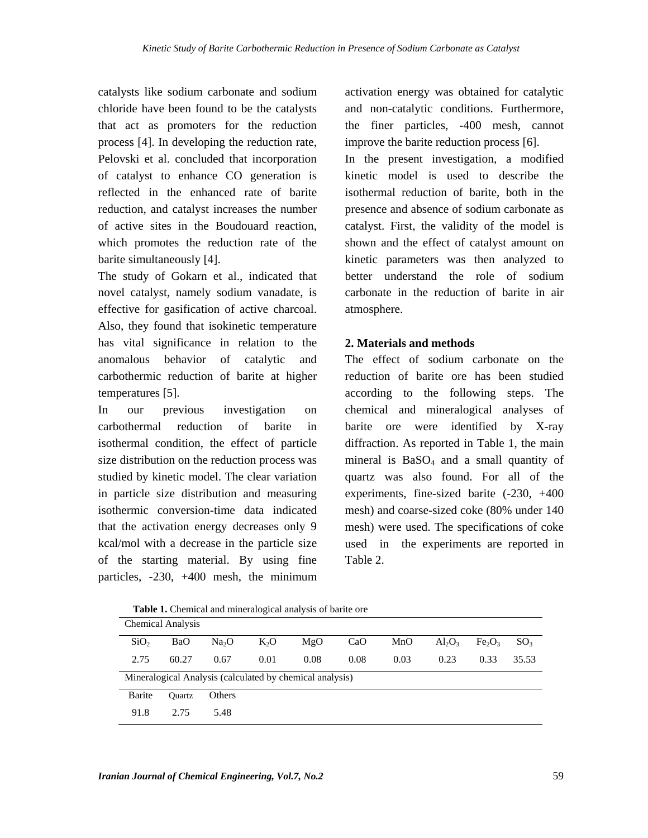catalysts like sodium carbonate and sodium chloride have been found to be the catalysts that act as promoters for the reduction process [4]. In developing the reduction rate, Pelovski et al. concluded that incorporation of catalyst to enhance CO generation is reflected in the enhanced rate of barite reduction, and catalyst increases the number of active sites in the Boudouard reaction, which promotes the reduction rate of the barite simultaneously [4].

The study of Gokarn et al., indicated that novel catalyst, namely sodium vanadate, is effective for gasification of active charcoal. Also, they found that isokinetic temperature has vital significance in relation to the anomalous behavior of catalytic and carbothermic reduction of barite at higher temperatures [5].

In our previous investigation on carbothermal reduction of barite in isothermal condition, the effect of particle size distribution on the reduction process was studied by kinetic model. The clear variation in particle size distribution and measuring isothermic conversion-time data indicated that the activation energy decreases only 9 kcal/mol with a decrease in the particle size of the starting material. By using fine particles, -230, +400 mesh, the minimum

activation energy was obtained for catalytic and non-catalytic conditions. Furthermore, the finer particles, -400 mesh, cannot improve the barite reduction process [6].

In the present investigation, a modified kinetic model is used to describe the isothermal reduction of barite, both in the presence and absence of sodium carbonate as catalyst. First, the validity of the model is shown and the effect of catalyst amount on kinetic parameters was then analyzed to better understand the role of sodium carbonate in the reduction of barite in air atmosphere.

# **2. Materials and methods**

The effect of sodium carbonate on the reduction of barite ore has been studied according to the following steps. The chemical and mineralogical analyses of barite ore were identified by X-ray diffraction. As reported in Table 1, the main mineral is  $BaSO<sub>4</sub>$  and a small quantity of quartz was also found. For all of the experiments, fine-sized barite (-230, +400 mesh) and coarse-sized coke (80% under 140 mesh) were used. The specifications of coke used in the experiments are reported in Table 2.

| <b>Chemical Analysis</b>                                 |        |                   |        |      |      |      |           |                                |                 |
|----------------------------------------------------------|--------|-------------------|--------|------|------|------|-----------|--------------------------------|-----------------|
| SiO <sub>2</sub>                                         | BaO    | Na <sub>2</sub> O | $K_2O$ | MgO  | CaO  | MnO  | $Al_2O_3$ | Fe <sub>2</sub> O <sub>3</sub> | SO <sub>3</sub> |
| 2.75                                                     | 60.27  | 0.67              | 0.01   | 0.08 | 0.08 | 0.03 | 0.23      | 0.33                           | 35.53           |
| Mineralogical Analysis (calculated by chemical analysis) |        |                   |        |      |      |      |           |                                |                 |
| Barite                                                   | Ouartz | <b>Others</b>     |        |      |      |      |           |                                |                 |
| 91.8                                                     | 2.75   | 5.48              |        |      |      |      |           |                                |                 |

**Table 1.** Chemical and mineralogical analysis of barite ore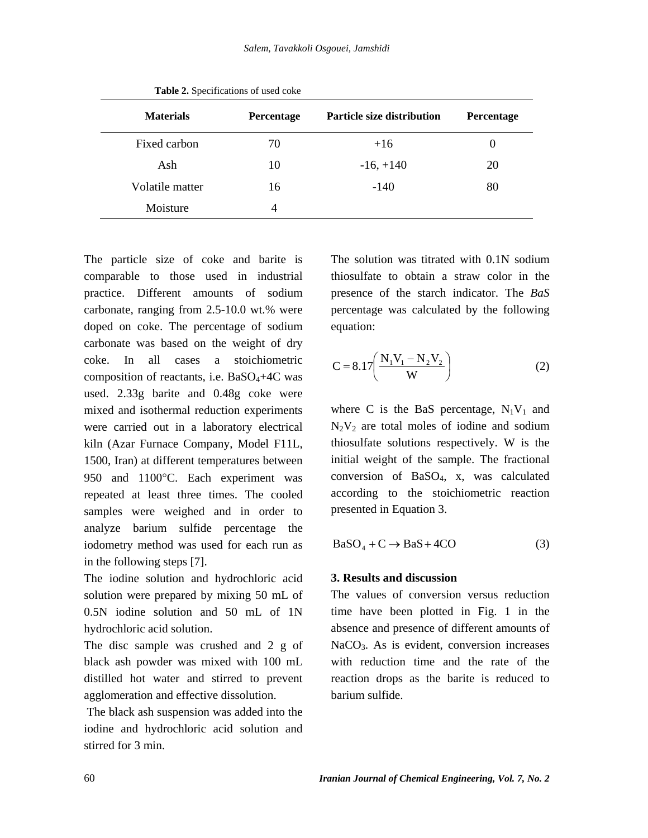| <b>Materials</b> | Percentage | <b>Particle size distribution</b> | Percentage |
|------------------|------------|-----------------------------------|------------|
| Fixed carbon     | 70         | $+16$                             | O          |
| Ash              | 10         | $-16, +140$                       | 20         |
| Volatile matter  | 16         | $-140$                            | 80         |
| Moisture         | 4          |                                   |            |

**Table 2.** Specifications of used coke

The particle size of coke and barite is comparable to those used in industrial practice. Different amounts of sodium carbonate, ranging from 2.5-10.0 wt.% were doped on coke. The percentage of sodium carbonate was based on the weight of dry coke. In all cases a stoichiometric composition of reactants, i.e.  $BaSO_4+4C$  was used. 2.33g barite and 0.48g coke were mixed and isothermal reduction experiments were carried out in a laboratory electrical kiln (Azar Furnace Company, Model F11L, 1500, Iran) at different temperatures between 950 and 1100°C. Each experiment was repeated at least three times. The cooled samples were weighed and in order to analyze barium sulfide percentage the iodometry method was used for each run as in the following steps [7].

The iodine solution and hydrochloric acid solution were prepared by mixing 50 mL of 0.5N iodine solution and 50 mL of 1N hydrochloric acid solution.

The disc sample was crushed and 2 g of black ash powder was mixed with 100 mL distilled hot water and stirred to prevent agglomeration and effective dissolution.

 The black ash suspension was added into the iodine and hydrochloric acid solution and stirred for 3 min.

The solution was titrated with 0.1N sodium thiosulfate to obtain a straw color in the presence of the starch indicator. The *BaS* percentage was calculated by the following equation:

$$
C = 8.17 \left( \frac{N_1 V_1 - N_2 V_2}{W} \right)
$$
 (2)

where C is the BaS percentage,  $N_1V_1$  and  $N_2V_2$  are total moles of iodine and sodium thiosulfate solutions respectively. W is the initial weight of the sample. The fractional conversion of BaSO4, x, was calculated according to the stoichiometric reaction presented in Equation 3.

$$
BaSO4 + C \rightarrow BaS + 4CO
$$
 (3)

### **3. Results and discussion**

The values of conversion versus reduction time have been plotted in Fig. 1 in the absence and presence of different amounts of NaCO<sub>3</sub>. As is evident, conversion increases with reduction time and the rate of the reaction drops as the barite is reduced to barium sulfide.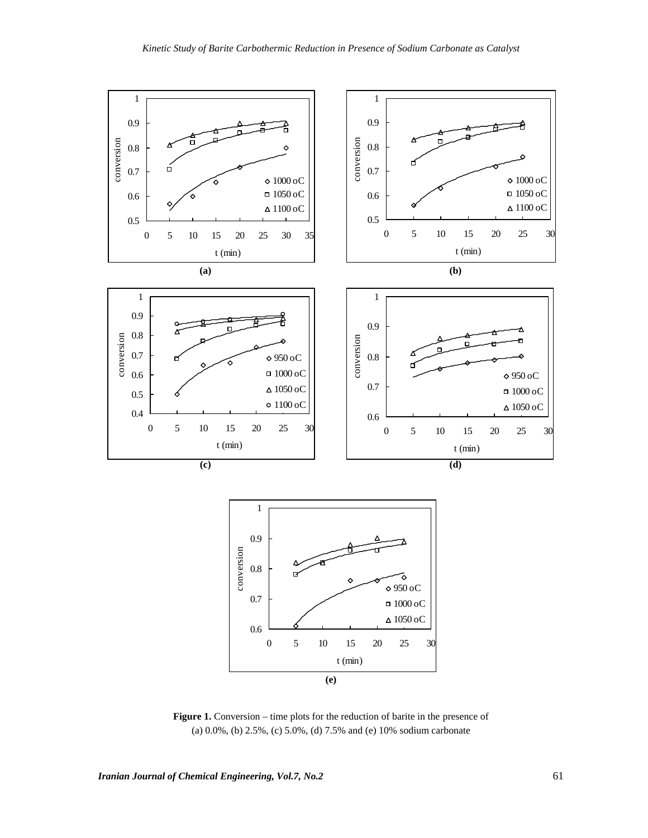

Figure 1. Conversion – time plots for the reduction of barite in the presence of (a) 0.0%, (b) 2.5%, (c) 5.0%, (d) 7.5% and (e) 10% sodium carbonate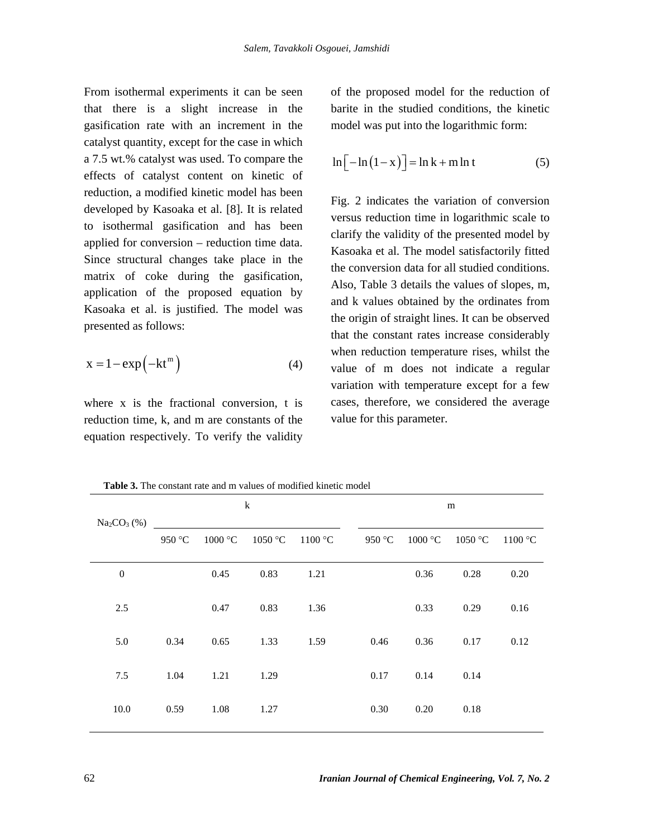From isothermal experiments it can be seen that there is a slight increase in the gasification rate with an increment in the catalyst quantity, except for the case in which a 7.5 wt.% catalyst was used. To compare the effects of catalyst content on kinetic of reduction, a modified kinetic model has been developed by Kasoaka et al. [8]. It is related to isothermal gasification and has been applied for conversion – reduction time data. Since structural changes take place in the matrix of coke during the gasification, application of the proposed equation by Kasoaka et al. is justified. The model was presented as follows:

$$
x = 1 - \exp(-kt^{m})
$$
 (4)

where x is the fractional conversion, t is reduction time, k, and m are constants of the equation respectively. To verify the validity

of the proposed model for the reduction of barite in the studied conditions, the kinetic model was put into the logarithmic form:

$$
\ln\left[-\ln\left(1-x\right)\right] = \ln k + m \ln t \tag{5}
$$

Fig. 2 indicates the variation of conversion versus reduction time in logarithmic scale to clarify the validity of the presented model by Kasoaka et al. The model satisfactorily fitted the conversion data for all studied conditions. Also, Table 3 details the values of slopes, m, and k values obtained by the ordinates from the origin of straight lines. It can be observed that the constant rates increase considerably when reduction temperature rises, whilst the value of m does not indicate a regular variation with temperature except for a few cases, therefore, we considered the average value for this parameter.

k m  $Na<sub>2</sub>CO<sub>3</sub>$  (%) 950 °C 1000 °C 1050 °C 1100 °C 950 °C 1000 °C 1050 °C 1100 °C 0 0.45 0.83 1.21 0.36 0.28 0.20 2.5 0.47 0.83 1.36 0.33 0.29 0.16 5.0 0.34 0.65 1.33 1.59 0.46 0.36 0.17 0.12 7.5 1.04 1.21 1.29 0.17 0.14 0.14 10.0 0.59 1.08 1.27 0.30 0.20 0.18

**Table 3.** The constant rate and m values of modified kinetic model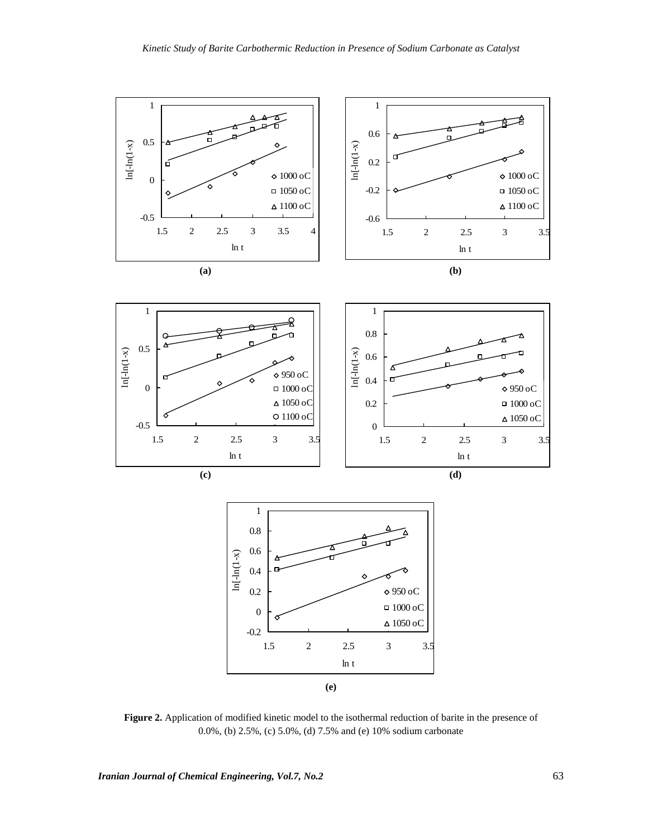

**Figure 2.** Application of modified kinetic model to the isothermal reduction of barite in the presence of 0.0%, (b) 2.5%, (c) 5.0%, (d) 7.5% and (e) 10% sodium carbonate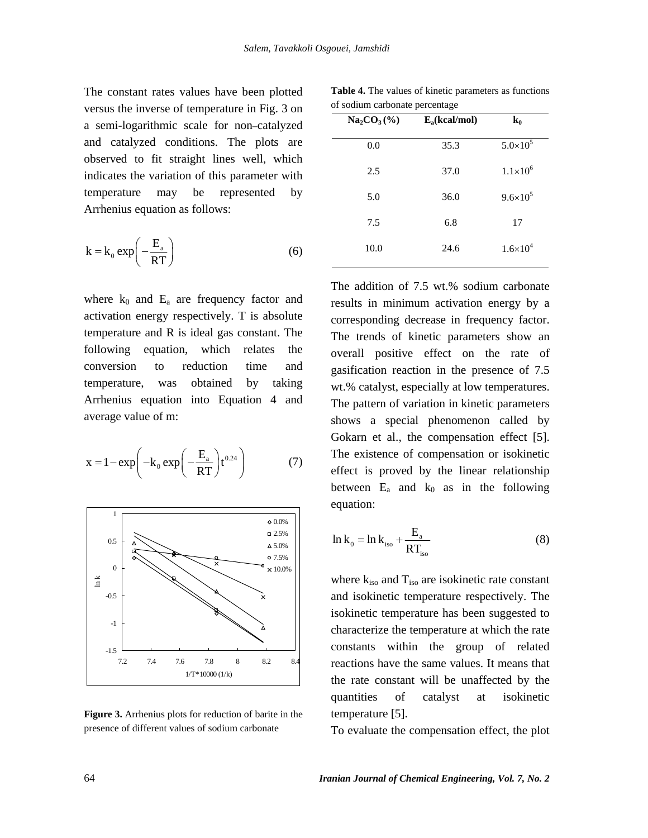The constant rates values have been plotted versus the inverse of temperature in Fig. 3 on a semi-logarithmic scale for non–catalyzed and catalyzed conditions. The plots are observed to fit straight lines well, which indicates the variation of this parameter with temperature may be represented by Arrhenius equation as follows:

$$
k = k_0 \exp\left(-\frac{E_a}{RT}\right) \tag{6}
$$

where  $k_0$  and  $E_a$  are frequency factor and activation energy respectively. T is absolute temperature and R is ideal gas constant. The following equation, which relates the conversion to reduction time and temperature, was obtained by taking Arrhenius equation into Equation 4 and average value of m:

$$
x = 1 - \exp\left(-k_0 \exp\left(-\frac{E_a}{RT}\right) t^{0.24}\right) \tag{7}
$$



**Figure 3.** Arrhenius plots for reduction of barite in the presence of different values of sodium carbonate

**Table 4.** The values of kinetic parameters as functions of sodium carbonate percentage

| $Na2CO3(\%)$ | $E_a(kcal/mol)$ | $\mathbf{k_0}$      |  |  |  |  |  |
|--------------|-----------------|---------------------|--|--|--|--|--|
| 0.0          | 35.3            | $5.0 \times 10^{5}$ |  |  |  |  |  |
| 2.5          | 37.0            | $1.1 \times 10^{6}$ |  |  |  |  |  |
| 5.0          | 36.0            | $9.6 \times 10^{5}$ |  |  |  |  |  |
| 7.5          | 6.8             | 17                  |  |  |  |  |  |
| 10.0         | 24.6            | $1.6 \times 10^{4}$ |  |  |  |  |  |
|              |                 |                     |  |  |  |  |  |

The addition of 7.5 wt.% sodium carbonate results in minimum activation energy by a corresponding decrease in frequency factor. The trends of kinetic parameters show an overall positive effect on the rate of gasification reaction in the presence of 7.5 wt.% catalyst, especially at low temperatures. The pattern of variation in kinetic parameters shows a special phenomenon called by Gokarn et al., the compensation effect [5]. The existence of compensation or isokinetic effect is proved by the linear relationship between  $E_a$  and  $k_0$  as in the following equation:

$$
\ln k_0 = \ln k_{\text{iso}} + \frac{E_a}{RT_{\text{iso}}} \tag{8}
$$

where  $k_{iso}$  and  $T_{iso}$  are isokinetic rate constant and isokinetic temperature respectively. The isokinetic temperature has been suggested to characterize the temperature at which the rate constants within the group of related reactions have the same values. It means that the rate constant will be unaffected by the quantities of catalyst at isokinetic temperature [5].

To evaluate the compensation effect, the plot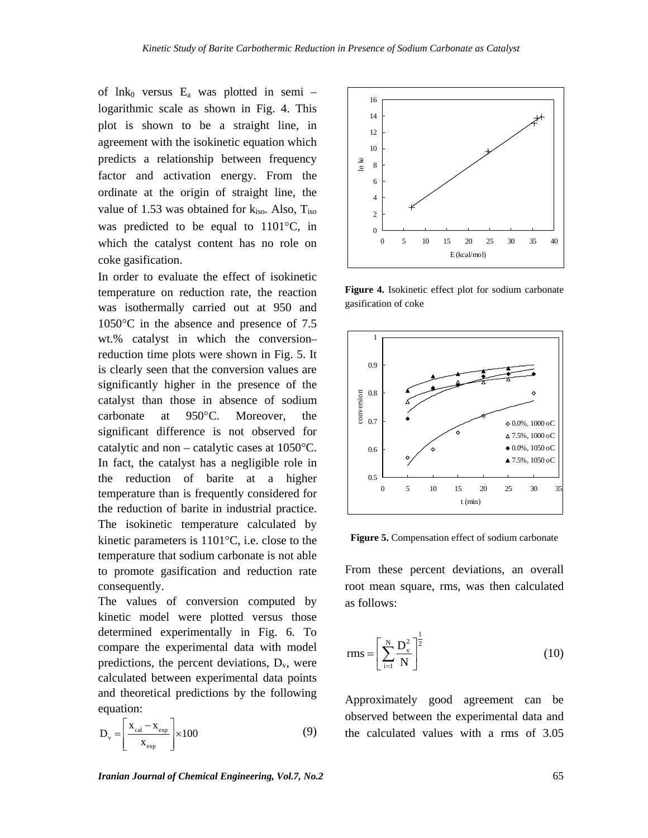of lnk<sub>0</sub> versus  $E_a$  was plotted in semi – logarithmic scale as shown in Fig. 4. This plot is shown to be a straight line, in agreement with the isokinetic equation which predicts a relationship between frequency factor and activation energy. From the ordinate at the origin of straight line, the value of 1.53 was obtained for  $k_{iso}$ . Also,  $T_{iso}$ was predicted to be equal to 1101°C, in which the catalyst content has no role on coke gasification.

In order to evaluate the effect of isokinetic temperature on reduction rate, the reaction was isothermally carried out at 950 and 1050°C in the absence and presence of 7.5 wt.% catalyst in which the conversion– reduction time plots were shown in Fig. 5. It is clearly seen that the conversion values are significantly higher in the presence of the catalyst than those in absence of sodium carbonate at 950°C. Moreover, the significant difference is not observed for catalytic and non – catalytic cases at 1050°C. In fact, the catalyst has a negligible role in the reduction of barite at a higher temperature than is frequently considered for the reduction of barite in industrial practice. The isokinetic temperature calculated by kinetic parameters is 1101°C, i.e. close to the temperature that sodium carbonate is not able to promote gasification and reduction rate consequently.

The values of conversion computed by kinetic model were plotted versus those determined experimentally in Fig. 6. To compare the experimental data with model predictions, the percent deviations,  $D_v$ , were calculated between experimental data points and theoretical predictions by the following equation:

$$
D_{v} = \left[\frac{x_{cal} - x_{exp}}{x_{exp}}\right] \times 100
$$
 (9)



**Figure 4.** Isokinetic effect plot for sodium carbonate gasification of coke



**Figure 5.** Compensation effect of sodium carbonate

From these percent deviations, an overall root mean square, rms, was then calculated as follows:

rms = 
$$
\left[\sum_{i=1}^{N} \frac{D_v^2}{N}\right]^{\frac{1}{2}}
$$
 (10)

Approximately good agreement can be observed between the experimental data and the calculated values with a rms of 3.05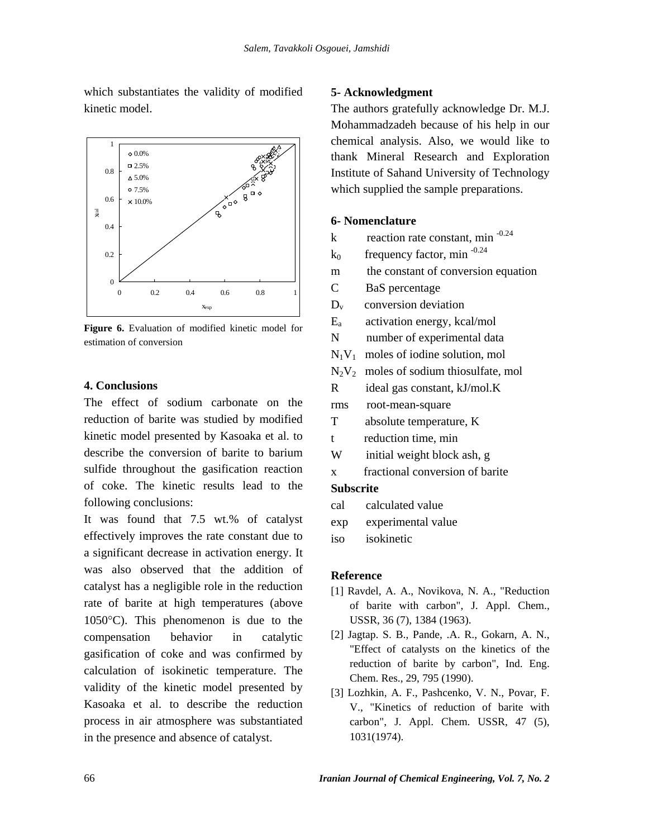which substantiates the validity of modified kinetic model.



**Figure 6.** Evaluation of modified kinetic model for estimation of conversion

# **4. Conclusions**

The effect of sodium carbonate on the reduction of barite was studied by modified kinetic model presented by Kasoaka et al. to describe the conversion of barite to barium sulfide throughout the gasification reaction of coke. The kinetic results lead to the following conclusions:

It was found that 7.5 wt.% of catalyst effectively improves the rate constant due to a significant decrease in activation energy. It was also observed that the addition of catalyst has a negligible role in the reduction rate of barite at high temperatures (above 1050°C). This phenomenon is due to the compensation behavior in catalytic gasification of coke and was confirmed by calculation of isokinetic temperature. The validity of the kinetic model presented by Kasoaka et al. to describe the reduction process in air atmosphere was substantiated in the presence and absence of catalyst.

## **5- Acknowledgment**

The authors gratefully acknowledge Dr. M.J. Mohammadzadeh because of his help in our chemical analysis. Also, we would like to thank Mineral Research and Exploration Institute of Sahand University of Technology which supplied the sample preparations.

#### **6- Nomenclature**

- k reaction rate constant, min  $-0.24$
- $k_0$  frequency factor, min<sup>-0.24</sup>
- m the constant of conversion equation
- C BaS percentage
- $D_v$  conversion deviation
- $E_a$  activation energy, kcal/mol
- N number of experimental data
- $N_1V_1$  moles of iodine solution, mol
- $N_2V_2$  moles of sodium thiosulfate, mol
- R ideal gas constant, kJ/mol.K
- rms root-mean-square
- T absolute temperature, K
- t reduction time, min
- W initial weight block ash, g
- x fractional conversion of barite

# **Subscrite**

- cal calculated value
- exp experimental value
- iso isokinetic

## **Reference**

- [1] Ravdel, A. A., Novikova, N. A., "Reduction of barite with carbon", J. Appl. Chem., USSR, 36 (7), 1384 (1963).
- [2] Jagtap. S. B., Pande, .A. R., Gokarn, A. N., "Effect of catalysts on the kinetics of the reduction of barite by carbon", Ind. Eng. Chem. Res., 29, 795 (1990).
- [3] Lozhkin, A. F., Pashcenko, V. N., Povar, F. V., "Kinetics of reduction of barite with carbon", J. Appl. Chem. USSR, 47 (5), 1031(1974).